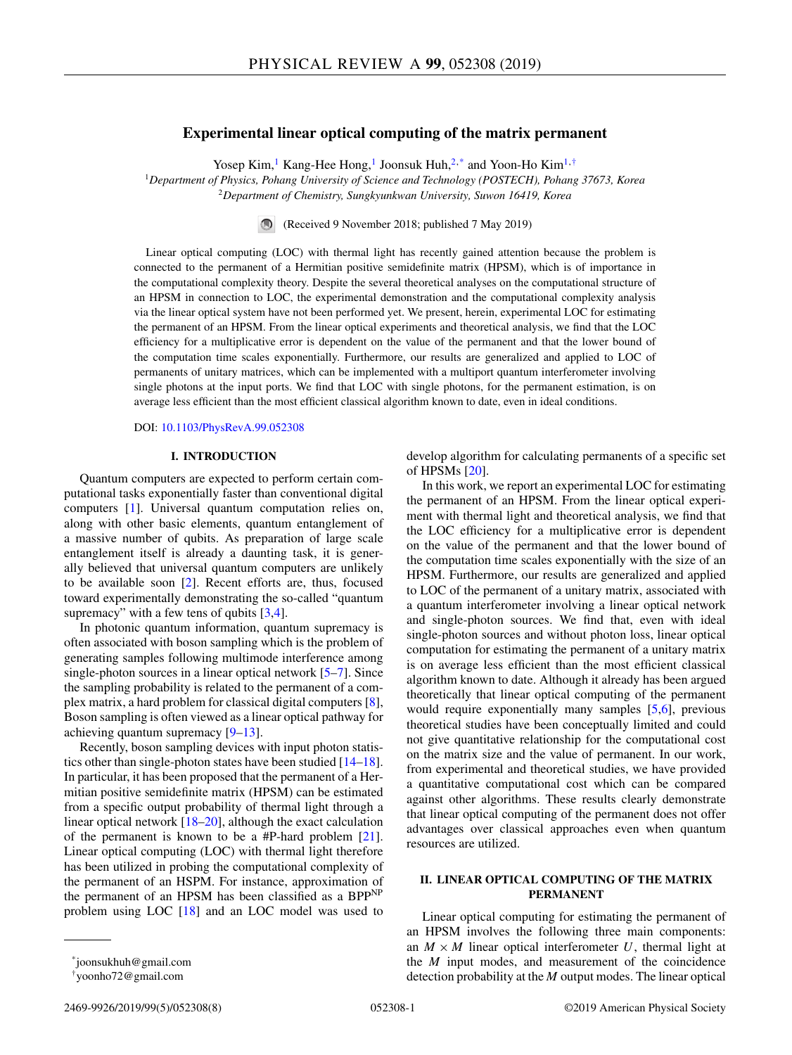# **Experimental linear optical computing of the matrix permanent**

Yosep Kim,<sup>1</sup> Kang-Hee Hong,<sup>1</sup> Joonsuk Huh,<sup>2,\*</sup> and Yoon-Ho Kim<sup>1,†</sup>

<sup>1</sup>*Department of Physics, Pohang University of Science and Technology (POSTECH), Pohang 37673, Korea* <sup>2</sup>*Department of Chemistry, Sungkyunkwan University, Suwon 16419, Korea*

(Received 9 November 2018; published 7 May 2019)

Linear optical computing (LOC) with thermal light has recently gained attention because the problem is connected to the permanent of a Hermitian positive semidefinite matrix (HPSM), which is of importance in the computational complexity theory. Despite the several theoretical analyses on the computational structure of an HPSM in connection to LOC, the experimental demonstration and the computational complexity analysis via the linear optical system have not been performed yet. We present, herein, experimental LOC for estimating the permanent of an HPSM. From the linear optical experiments and theoretical analysis, we find that the LOC efficiency for a multiplicative error is dependent on the value of the permanent and that the lower bound of the computation time scales exponentially. Furthermore, our results are generalized and applied to LOC of permanents of unitary matrices, which can be implemented with a multiport quantum interferometer involving single photons at the input ports. We find that LOC with single photons, for the permanent estimation, is on average less efficient than the most efficient classical algorithm known to date, even in ideal conditions.

DOI: [10.1103/PhysRevA.99.052308](https://doi.org/10.1103/PhysRevA.99.052308)

### **I. INTRODUCTION**

Quantum computers are expected to perform certain computational tasks exponentially faster than conventional digital computers [\[1\]](#page-6-0). Universal quantum computation relies on, along with other basic elements, quantum entanglement of a massive number of qubits. As preparation of large scale entanglement itself is already a daunting task, it is generally believed that universal quantum computers are unlikely to be available soon [\[2\]](#page-6-0). Recent efforts are, thus, focused toward experimentally demonstrating the so-called "quantum supremacy" with a few tens of qubits  $[3,4]$ .

In photonic quantum information, quantum supremacy is often associated with boson sampling which is the problem of generating samples following multimode interference among single-photon sources in a linear optical network [\[5–7\]](#page-6-0). Since the sampling probability is related to the permanent of a complex matrix, a hard problem for classical digital computers [\[8\]](#page-6-0), Boson sampling is often viewed as a linear optical pathway for achieving quantum supremacy [\[9–13\]](#page-6-0).

Recently, boson sampling devices with input photon statistics other than single-photon states have been studied [\[14–18\]](#page-6-0). In particular, it has been proposed that the permanent of a Hermitian positive semidefinite matrix (HPSM) can be estimated from a specific output probability of thermal light through a linear optical network [\[18–20\]](#page-6-0), although the exact calculation of the permanent is known to be a #P-hard problem  $[21]$ . Linear optical computing (LOC) with thermal light therefore has been utilized in probing the computational complexity of the permanent of an HSPM. For instance, approximation of the permanent of an HPSM has been classified as a BPP<sup>NP</sup> problem using LOC [\[18\]](#page-6-0) and an LOC model was used to develop algorithm for calculating permanents of a specific set of HPSMs [\[20\]](#page-6-0).

In this work, we report an experimental LOC for estimating the permanent of an HPSM. From the linear optical experiment with thermal light and theoretical analysis, we find that the LOC efficiency for a multiplicative error is dependent on the value of the permanent and that the lower bound of the computation time scales exponentially with the size of an HPSM. Furthermore, our results are generalized and applied to LOC of the permanent of a unitary matrix, associated with a quantum interferometer involving a linear optical network and single-photon sources. We find that, even with ideal single-photon sources and without photon loss, linear optical computation for estimating the permanent of a unitary matrix is on average less efficient than the most efficient classical algorithm known to date. Although it already has been argued theoretically that linear optical computing of the permanent would require exponentially many samples [\[5,6\]](#page-6-0), previous theoretical studies have been conceptually limited and could not give quantitative relationship for the computational cost on the matrix size and the value of permanent. In our work, from experimental and theoretical studies, we have provided a quantitative computational cost which can be compared against other algorithms. These results clearly demonstrate that linear optical computing of the permanent does not offer advantages over classical approaches even when quantum resources are utilized.

# **II. LINEAR OPTICAL COMPUTING OF THE MATRIX PERMANENT**

Linear optical computing for estimating the permanent of an HPSM involves the following three main components: an  $M \times M$  linear optical interferometer U, thermal light at the *M* input modes, and measurement of the coincidence detection probability at the *M* output modes. The linear optical

\*joonsukhuh@gmail.com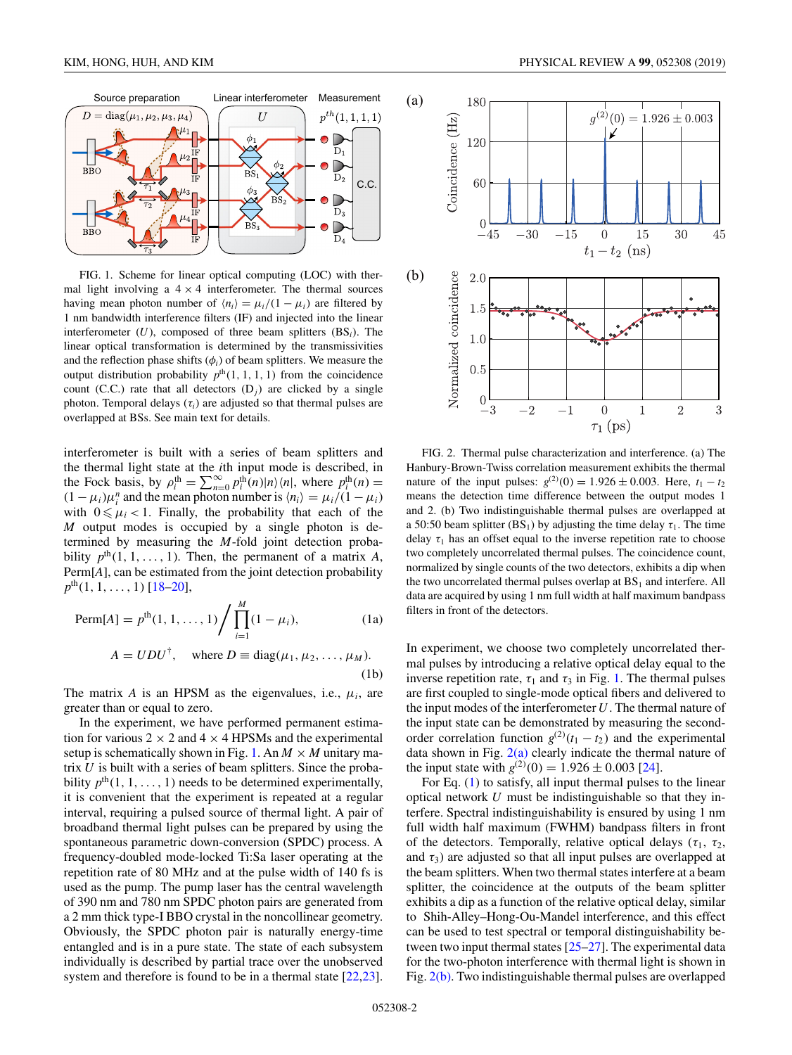<span id="page-1-0"></span>

FIG. 1. Scheme for linear optical computing (LOC) with thermal light involving a  $4 \times 4$  interferometer. The thermal sources having mean photon number of  $\langle n_i \rangle = \mu_i/(1 - \mu_i)$  are filtered by 1 nm bandwidth interference filters (IF) and injected into the linear interferometer (*U*), composed of three beam splitters (BS*i*). The linear optical transformation is determined by the transmissivities and the reflection phase shifts (φ*i*) of beam splitters. We measure the output distribution probability  $p<sup>th</sup>(1, 1, 1, 1)$  from the coincidence count (C.C.) rate that all detectors  $(D_j)$  are clicked by a single photon. Temporal delays  $(\tau_i)$  are adjusted so that thermal pulses are overlapped at BSs. See main text for details.

interferometer is built with a series of beam splitters and the thermal light state at the *i*th input mode is described, in the Fock basis, by  $\rho_i^{\text{th}} = \sum_{n=0}^{\infty} p_i^{\text{th}}(n) |n\rangle\langle n|$ , where  $p_i^{\text{th}}(n) =$  $(1 - \mu_i)\mu_i^n$  and the mean photon number is  $\langle n_i \rangle = \mu_i/(1 - \mu_i)$ with  $0 \le \mu_i < 1$ . Finally, the probability that each of the *M* output modes is occupied by a single photon is determined by measuring the *M*-fold joint detection probability  $p^{th}(1, 1, \ldots, 1)$ . Then, the permanent of a matrix *A*, Perm[*A*], can be estimated from the joint detection probability  $p^{\text{th}}(1, 1, \ldots, 1)$  [\[18–20\]](#page-6-0),

Perm[A] = 
$$
p^{\text{th}}(1, 1, ..., 1)
$$
 /  $\prod_{i=1}^{M} (1 - \mu_i)$ , (1a)  
\n $A = UDU^{\dagger}$ , where  $D = \text{diag}(\mu_1, \mu_2, ..., \mu_M)$ .

$$
A = U D U^*, \quad \text{where } D = \text{diag}(\mu_1, \mu_2, \dots, \mu_M). \tag{1b}
$$

The matrix *A* is an HPSM as the eigenvalues, i.e.,  $\mu_i$ , are greater than or equal to zero.

In the experiment, we have performed permanent estimation for various  $2 \times 2$  and  $4 \times 4$  HPSMs and the experimental setup is schematically shown in Fig. 1. An  $M \times M$  unitary matrix *U* is built with a series of beam splitters. Since the probability  $p^{\text{th}}(1, 1, \ldots, 1)$  needs to be determined experimentally, it is convenient that the experiment is repeated at a regular interval, requiring a pulsed source of thermal light. A pair of broadband thermal light pulses can be prepared by using the spontaneous parametric down-conversion (SPDC) process. A frequency-doubled mode-locked Ti:Sa laser operating at the repetition rate of 80 MHz and at the pulse width of 140 fs is used as the pump. The pump laser has the central wavelength of 390 nm and 780 nm SPDC photon pairs are generated from a 2 mm thick type-I BBO crystal in the noncollinear geometry. Obviously, the SPDC photon pair is naturally energy-time entangled and is in a pure state. The state of each subsystem individually is described by partial trace over the unobserved system and therefore is found to be in a thermal state [\[22,23\]](#page-6-0).



FIG. 2. Thermal pulse characterization and interference. (a) The Hanbury-Brown-Twiss correlation measurement exhibits the thermal nature of the input pulses:  $g^{(2)}(0) = 1.926 \pm 0.003$ . Here,  $t_1 - t_2$ means the detection time difference between the output modes 1 and 2. (b) Two indistinguishable thermal pulses are overlapped at a 50:50 beam splitter (BS<sub>1</sub>) by adjusting the time delay  $\tau_1$ . The time delay  $\tau_1$  has an offset equal to the inverse repetition rate to choose two completely uncorrelated thermal pulses. The coincidence count, normalized by single counts of the two detectors, exhibits a dip when the two uncorrelated thermal pulses overlap at  $BS<sub>1</sub>$  and interfere. All data are acquired by using 1 nm full width at half maximum bandpass filters in front of the detectors.

In experiment, we choose two completely uncorrelated thermal pulses by introducing a relative optical delay equal to the inverse repetition rate,  $\tau_1$  and  $\tau_3$  in Fig. 1. The thermal pulses are first coupled to single-mode optical fibers and delivered to the input modes of the interferometer *U*. The thermal nature of the input state can be demonstrated by measuring the secondorder correlation function  $g^{(2)}(t_1 - t_2)$  and the experimental data shown in Fig.  $2(a)$  clearly indicate the thermal nature of the input state with  $g^{(2)}(0) = 1.926 \pm 0.003$  [\[24\]](#page-6-0).

For Eq. (1) to satisfy, all input thermal pulses to the linear optical network *U* must be indistinguishable so that they interfere. Spectral indistinguishability is ensured by using 1 nm full width half maximum (FWHM) bandpass filters in front of the detectors. Temporally, relative optical delays ( $\tau_1$ ,  $\tau_2$ , and  $\tau_3$ ) are adjusted so that all input pulses are overlapped at the beam splitters. When two thermal states interfere at a beam splitter, the coincidence at the outputs of the beam splitter exhibits a dip as a function of the relative optical delay, similar to Shih-Alley–Hong-Ou-Mandel interference, and this effect can be used to test spectral or temporal distinguishability between two input thermal states [\[25–](#page-6-0)[27\]](#page-7-0). The experimental data for the two-photon interference with thermal light is shown in Fig. 2(b). Two indistinguishable thermal pulses are overlapped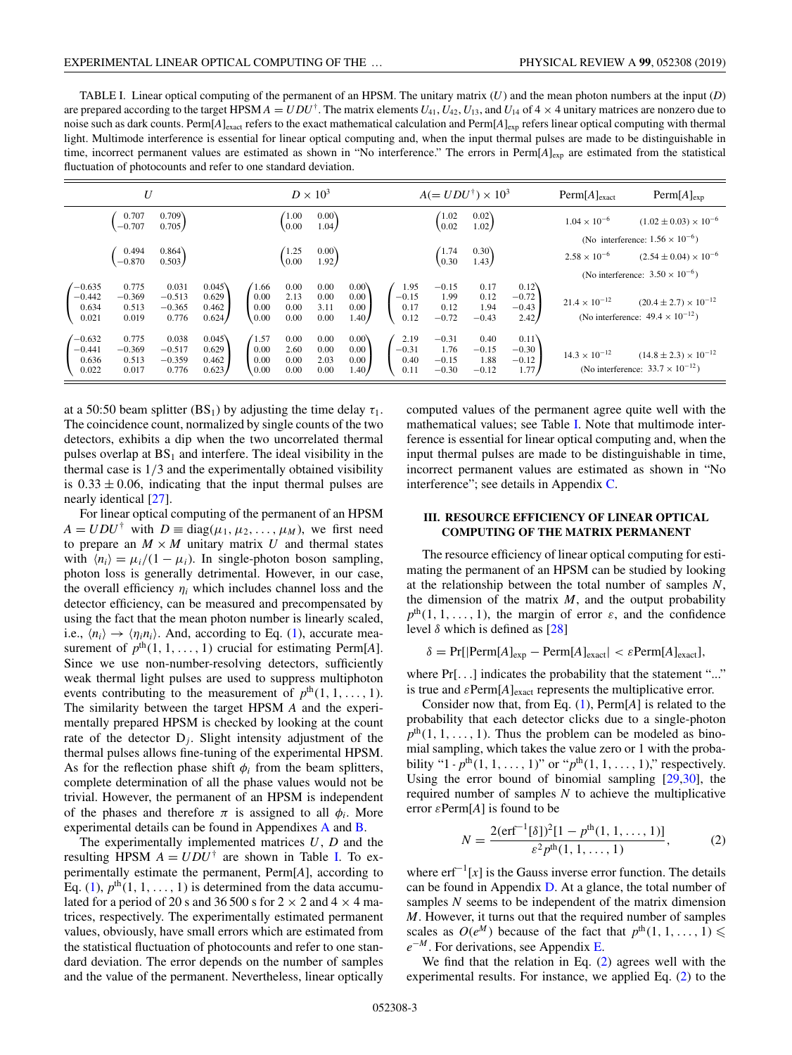<span id="page-2-0"></span>TABLE I. Linear optical computing of the permanent of an HPSM. The unitary matrix (*U*) and the mean photon numbers at the input (*D*) are prepared according to the target HPSM  $A = UDU^{\dagger}$ . The matrix elements  $U_{41}$ ,  $U_{42}$ ,  $U_{13}$ , and  $U_{14}$  of  $4 \times 4$  unitary matrices are nonzero due to noise such as dark counts. Perm $[A]_{exact}$  refers to the exact mathematical calculation and  $Perm[A]_{exp}$  refers linear optical computing with thermal light. Multimode interference is essential for linear optical computing and, when the input thermal pulses are made to be distinguishable in time, incorrect permanent values are estimated as shown in "No interference." The errors in Perm[*A*]<sub>exp</sub> are estimated from the statistical fluctuation of photocounts and refer to one standard deviation.

| U                                      |                                     |                                        |                                  | $D \times 10^3$                         |                              |                              |                                               | $A (= UDU^{\dagger}) \times 10^3$ |                                       |                                    |                                      | $\text{Perm}[A]_{\text{exact}}$ | $\text{Perm}[A]_{\text{exp}}$                                                                                              |
|----------------------------------------|-------------------------------------|----------------------------------------|----------------------------------|-----------------------------------------|------------------------------|------------------------------|-----------------------------------------------|-----------------------------------|---------------------------------------|------------------------------------|--------------------------------------|---------------------------------|----------------------------------------------------------------------------------------------------------------------------|
|                                        | 0.707<br>$-0.707$                   | 0.709)<br>0.705                        |                                  |                                         | 1.00<br>0.00                 | $0.00\lambda$<br>1.04        |                                               |                                   | (1.02)<br>$\sqrt{0.02}$               | 0.02)<br>1.02                      |                                      | $1.04 \times 10^{-6}$           | $(1.02 \pm 0.03) \times 10^{-6}$                                                                                           |
|                                        | 0.494<br>$-0.870$                   | 0.864)<br>0.503                        |                                  |                                         | 1.25<br>0.00                 | $0.00\lambda$<br>1.92        |                                               |                                   | (1.74)<br>0.30                        | 0.30)<br>1.43 J                    |                                      | $2.58 \times 10^{-6}$           | (No interference: $1.56 \times 10^{-6}$ )<br>$(2.54 \pm 0.04) \times 10^{-6}$<br>(No interference: $3.50 \times 10^{-6}$ ) |
| $-0.635$<br>$-0.442$<br>0.634<br>0.021 | 0.775<br>$-0.369$<br>0.513<br>0.019 | 0.031<br>$-0.513$<br>$-0.365$<br>0.776 | 0.045<br>0.629<br>0.462<br>0.624 | $^{\prime}1.66$<br>0.00<br>0.00<br>0.00 | 0.00<br>2.13<br>0.00<br>0.00 | 0.00<br>0.00<br>3.11<br>0.00 | $0.00\%$<br>0.00<br>0.00<br>1.40 <sub>l</sub> | 1.95<br>$-0.15$<br>0.17<br>0.12   | $-0.15$<br>1.99<br>0.12<br>$-0.72$    | 0.17<br>0.12<br>1.94<br>$-0.43$    | 0.12)<br>$-0.72$<br>$-0.43$<br>2.42) | $21.4 \times 10^{-12}$          | $(20.4 \pm 2.7) \times 10^{-12}$<br>(No interference: $49.4 \times 10^{-12}$ )                                             |
| $-0.632$<br>$-0.441$<br>0.636<br>0.022 | 0.775<br>$-0.369$<br>0.513<br>0.017 | 0.038<br>$-0.517$<br>$-0.359$<br>0.776 | 0.045<br>0.629<br>0.462<br>0.623 | (1.57)<br>0.00<br>0.00<br>0.00          | 0.00<br>2.60<br>0.00<br>0.00 | 0.00<br>0.00<br>2.03<br>0.00 | $0.00\)$<br>0.00<br>0.00<br>1.40/             | 2.19<br>$-0.31$<br>0.40<br>0.11   | $-0.31$<br>1.76<br>$-0.15$<br>$-0.30$ | 0.40<br>$-0.15$<br>1.88<br>$-0.12$ | 0.11)<br>$-0.30$<br>$-0.12$<br>1.77  | $14.3 \times 10^{-12}$          | $(14.8 \pm 2.3) \times 10^{-12}$<br>(No interference: $33.7 \times 10^{-12}$ )                                             |

at a 50:50 beam splitter (BS<sub>1</sub>) by adjusting the time delay  $\tau_1$ . The coincidence count, normalized by single counts of the two detectors, exhibits a dip when the two uncorrelated thermal pulses overlap at  $BS<sub>1</sub>$  and interfere. The ideal visibility in the thermal case is 1/3 and the experimentally obtained visibility is  $0.33 \pm 0.06$ , indicating that the input thermal pulses are nearly identical [\[27\]](#page-7-0).

For linear optical computing of the permanent of an HPSM  $A = U D U^{\dagger}$  with  $D \equiv \text{diag}(\mu_1, \mu_2, \dots, \mu_M)$ , we first need to prepare an  $M \times M$  unitary matrix U and thermal states with  $\langle n_i \rangle = \mu_i/(1 - \mu_i)$ . In single-photon boson sampling, photon loss is generally detrimental. However, in our case, the overall efficiency  $\eta_i$  which includes channel loss and the detector efficiency, can be measured and precompensated by using the fact that the mean photon number is linearly scaled, i.e.,  $\langle n_i \rangle \rightarrow \langle n_i n_i \rangle$ . And, according to Eq. [\(1\)](#page-1-0), accurate measurement of  $p^{th}(1, 1, \ldots, 1)$  crucial for estimating Perm[*A*]. Since we use non-number-resolving detectors, sufficiently weak thermal light pulses are used to suppress multiphoton events contributing to the measurement of  $p<sup>th</sup>(1, 1, ..., 1)$ . The similarity between the target HPSM *A* and the experimentally prepared HPSM is checked by looking at the count rate of the detector  $D_j$ . Slight intensity adjustment of the thermal pulses allows fine-tuning of the experimental HPSM. As for the reflection phase shift  $\phi_i$  from the beam splitters, complete determination of all the phase values would not be trivial. However, the permanent of an HPSM is independent of the phases and therefore  $\pi$  is assigned to all  $\phi_i$ . More experimental details can be found in Appendixes [A](#page-4-0) and [B.](#page-4-0)

The experimentally implemented matrices *U*, *D* and the resulting HPSM  $A = UDU^{\dagger}$  are shown in Table I. To experimentally estimate the permanent, Perm[*A*], according to Eq. [\(1\)](#page-1-0),  $p^{th}(1, 1, \ldots, 1)$  is determined from the data accumulated for a period of 20 s and 36 500 s for  $2 \times 2$  and  $4 \times 4$  matrices, respectively. The experimentally estimated permanent values, obviously, have small errors which are estimated from the statistical fluctuation of photocounts and refer to one standard deviation. The error depends on the number of samples and the value of the permanent. Nevertheless, linear optically computed values of the permanent agree quite well with the mathematical values; see Table I. Note that multimode interference is essential for linear optical computing and, when the input thermal pulses are made to be distinguishable in time, incorrect permanent values are estimated as shown in "No interference"; see details in Appendix [C.](#page-4-0)

### **III. RESOURCE EFFICIENCY OF LINEAR OPTICAL COMPUTING OF THE MATRIX PERMANENT**

The resource efficiency of linear optical computing for estimating the permanent of an HPSM can be studied by looking at the relationship between the total number of samples *N*, the dimension of the matrix  $M$ , and the output probability  $p<sup>th</sup>(1, 1, \ldots, 1)$ , the margin of error  $\varepsilon$ , and the confidence level δ which is defined as  $[28]$ 

$$
\delta = \Pr[|\text{Perm}[A]_{\text{exp}} - \text{Perm}[A]_{\text{exact}}| < \varepsilon \text{Perm}[A]_{\text{exact}}],
$$

where  $Pr[...]$  indicates the probability that the statement "..." is true and  $\varepsilon$ Perm[*A*]<sub>exact</sub> represents the multiplicative error.

Consider now that, from Eq. [\(1\)](#page-1-0), Perm[*A*] is related to the probability that each detector clicks due to a single-photon  $p<sup>th</sup>(1, 1, \ldots, 1)$ . Thus the problem can be modeled as binomial sampling, which takes the value zero or 1 with the probability "1 -  $p^{\text{th}}(1, 1, ..., 1)$ " or " $p^{\text{th}}(1, 1, ..., 1)$ ", respectively. Using the error bound of binomial sampling [\[29,30\]](#page-7-0), the required number of samples *N* to achieve the multiplicative error  $\varepsilon$ Perm[*A*] is found to be

$$
N = \frac{2(\text{erf}^{-1}[\delta])^2[1 - p^{\text{th}}(1, 1, \dots, 1)]}{\varepsilon^2 p^{\text{th}}(1, 1, \dots, 1)},
$$
 (2)

where  $erf^{-1}[x]$  is the Gauss inverse error function. The details can be found in Appendix [D.](#page-5-0) At a glance, the total number of samples *N* seems to be independent of the matrix dimension *M*. However, it turns out that the required number of samples scales as  $O(e^M)$  because of the fact that  $p^{\text{th}}(1, 1, \ldots, 1) \leq$ *e*<sup>−</sup>*<sup>M</sup>* . For derivations, see Appendix [E.](#page-6-0)

We find that the relation in Eq. (2) agrees well with the experimental results. For instance, we applied Eq. (2) to the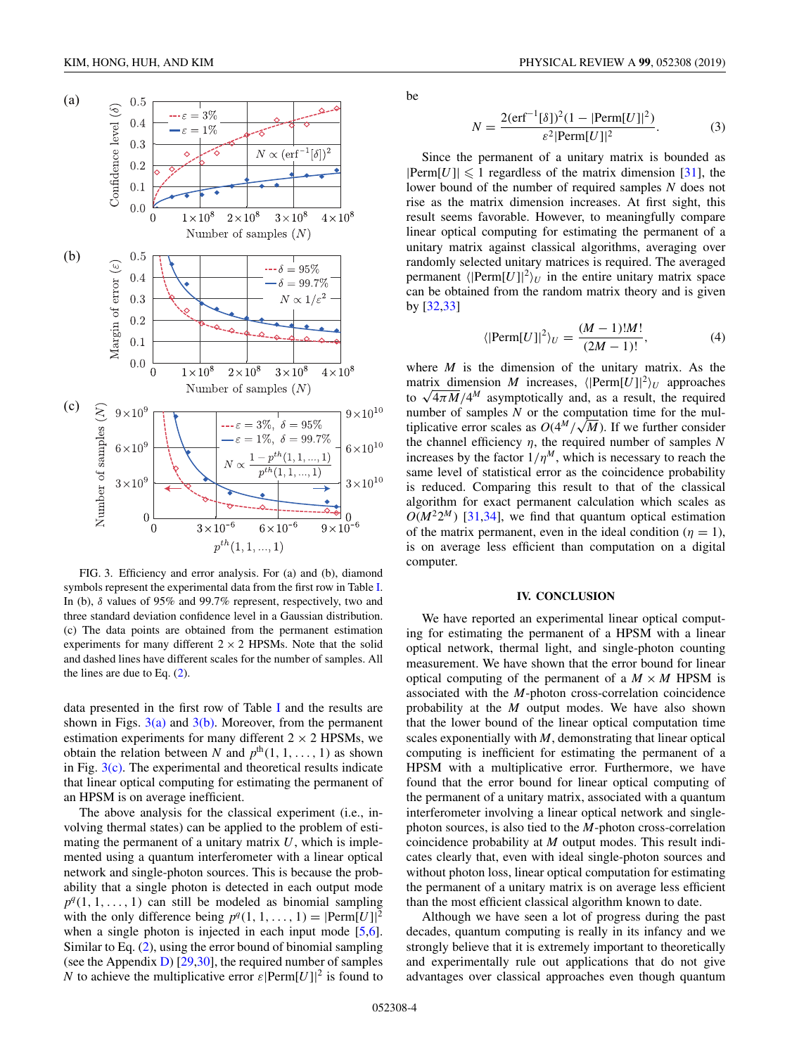

FIG. 3. Efficiency and error analysis. For (a) and (b), diamond symbols represent the experimental data from the first row in Table [I.](#page-2-0) In (b), δ values of 95% and 99.7% represent, respectively, two and three standard deviation confidence level in a Gaussian distribution. (c) The data points are obtained from the permanent estimation experiments for many different  $2 \times 2$  HPSMs. Note that the solid and dashed lines have different scales for the number of samples. All the lines are due to Eq. [\(2\)](#page-2-0).

data presented in the first row of Table [I](#page-2-0) and the results are shown in Figs.  $3(a)$  and  $3(b)$ . Moreover, from the permanent estimation experiments for many different  $2 \times 2$  HPSMs, we obtain the relation between *N* and  $p^{th}(1, 1, \ldots, 1)$  as shown in Fig.  $3(c)$ . The experimental and theoretical results indicate that linear optical computing for estimating the permanent of an HPSM is on average inefficient.

The above analysis for the classical experiment (i.e., involving thermal states) can be applied to the problem of estimating the permanent of a unitary matrix *U*, which is implemented using a quantum interferometer with a linear optical network and single-photon sources. This is because the probability that a single photon is detected in each output mode  $p<sup>q</sup>(1, 1, \ldots, 1)$  can still be modeled as binomial sampling with the only difference being  $p^q(1, 1, \ldots, 1) = |\text{Perm}[U]|^2$ when a single photon is injected in each input mode [\[5,6\]](#page-6-0). Similar to Eq. [\(2\)](#page-2-0), using the error bound of binomial sampling (see the Appendix [D\)](#page-5-0) [\[29,30\]](#page-7-0), the required number of samples *N* to achieve the multiplicative error  $\varepsilon$  [Perm[*U*]]<sup>2</sup> is found to

KIM, HONG, HUH, AND KIM PHYSICAL REVIEW A **99**, 052308 (2019)

be

$$
N = \frac{2(\text{erf}^{-1}[\delta])^{2}(1 - |\text{Perm}[U]|^{2})}{\varepsilon^{2}|\text{Perm}[U]|^{2}}.
$$
 (3)

Since the permanent of a unitary matrix is bounded as  $|Perm[U]| \leq 1$  regardless of the matrix dimension [\[31\]](#page-7-0), the lower bound of the number of required samples *N* does not rise as the matrix dimension increases. At first sight, this result seems favorable. However, to meaningfully compare linear optical computing for estimating the permanent of a unitary matrix against classical algorithms, averaging over randomly selected unitary matrices is required. The averaged permanent  $\langle \left| \text{Perm}[U] \right|^2 \rangle_U$  in the entire unitary matrix space can be obtained from the random matrix theory and is given by [\[32,33\]](#page-7-0)

$$
\langle \left| \text{Perm}[U] \right|^2 \rangle_U = \frac{(M-1)!M!}{(2M-1)!},\tag{4}
$$

where *M* is the dimension of the unitary matrix. As the matrix dimension *M* increases,  $\langle \text{Perm}[U] \rangle^2 \rangle_U$  approaches to  $\sqrt{4\pi M}/4^M$  asymptotically and, as a result, the required number of samples *N* or the computation time for the mulnumber of samples *N* or the computation time for the multiplicative error scales as  $O(4^M/\sqrt{M})$ . If we further consider the channel efficiency η, the required number of samples *N* increases by the factor  $1/\eta^M$ , which is necessary to reach the same level of statistical error as the coincidence probability is reduced. Comparing this result to that of the classical algorithm for exact permanent calculation which scales as  $O(M^2 2^M)$  [\[31,34\]](#page-7-0), we find that quantum optical estimation of the matrix permanent, even in the ideal condition ( $\eta = 1$ ), is on average less efficient than computation on a digital computer.

#### **IV. CONCLUSION**

We have reported an experimental linear optical computing for estimating the permanent of a HPSM with a linear optical network, thermal light, and single-photon counting measurement. We have shown that the error bound for linear optical computing of the permanent of a  $M \times M$  HPSM is associated with the *M*-photon cross-correlation coincidence probability at the *M* output modes. We have also shown that the lower bound of the linear optical computation time scales exponentially with *M*, demonstrating that linear optical computing is inefficient for estimating the permanent of a HPSM with a multiplicative error. Furthermore, we have found that the error bound for linear optical computing of the permanent of a unitary matrix, associated with a quantum interferometer involving a linear optical network and singlephoton sources, is also tied to the *M*-photon cross-correlation coincidence probability at *M* output modes. This result indicates clearly that, even with ideal single-photon sources and without photon loss, linear optical computation for estimating the permanent of a unitary matrix is on average less efficient than the most efficient classical algorithm known to date.

Although we have seen a lot of progress during the past decades, quantum computing is really in its infancy and we strongly believe that it is extremely important to theoretically and experimentally rule out applications that do not give advantages over classical approaches even though quantum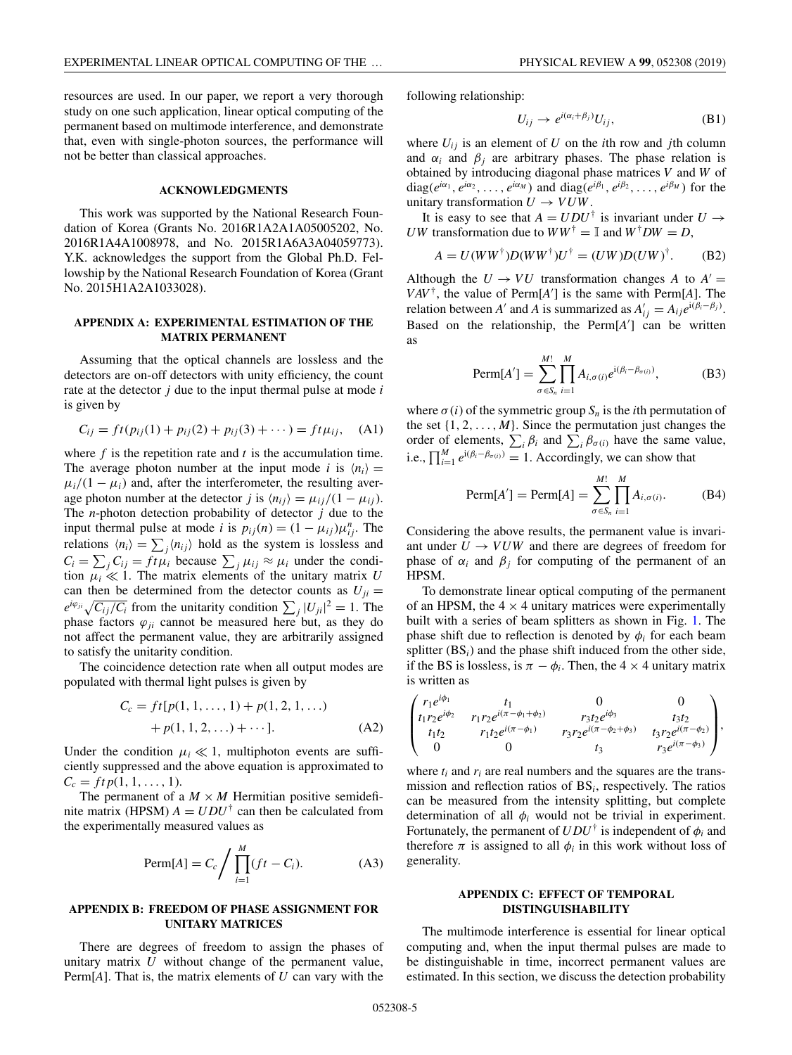<span id="page-4-0"></span>resources are used. In our paper, we report a very thorough study on one such application, linear optical computing of the permanent based on multimode interference, and demonstrate that, even with single-photon sources, the performance will not be better than classical approaches.

### **ACKNOWLEDGMENTS**

This work was supported by the National Research Foundation of Korea (Grants No. 2016R1A2A1A05005202, No. 2016R1A4A1008978, and No. 2015R1A6A3A04059773). Y.K. acknowledges the support from the Global Ph.D. Fellowship by the National Research Foundation of Korea (Grant No. 2015H1A2A1033028).

# **APPENDIX A: EXPERIMENTAL ESTIMATION OF THE MATRIX PERMANENT**

Assuming that the optical channels are lossless and the detectors are on-off detectors with unity efficiency, the count rate at the detector *j* due to the input thermal pulse at mode *i* is given by

$$
C_{ij} = ft(p_{ij}(1) + p_{ij}(2) + p_{ij}(3) + \cdots) = ft\mu_{ij}, \quad (A1)
$$

where *f* is the repetition rate and *t* is the accumulation time. The average photon number at the input mode *i* is  $\langle n_i \rangle =$  $\mu_i/(1 - \mu_i)$  and, after the interferometer, the resulting average photon number at the detector *j* is  $\langle n_{ij} \rangle = \mu_{ij} / (1 - \mu_{ij})$ . The *n*-photon detection probability of detector *j* due to the input thermal pulse at mode *i* is  $p_{ij}(n) = (1 - \mu_{ij})\mu_{ij}^n$ . The relations  $\langle n_i \rangle = \sum_j \langle n_{ij} \rangle$  hold as the system is lossless and  $C_i = \sum_j C_{ij} = ft\mu_i$  because  $\sum_j \mu_{ij} \approx \mu_i$  under the condition  $\mu_i \ll 1$ . The matrix elements of the unitary matrix *U* can then be determined from the detector counts as  $U_{ji}$  =  $e^{i\varphi_{ji}}\sqrt{C_{ij}/C_i}$  from the unitarity condition  $\sum_j |U_{ji}|^2 = 1$ . The phase factors  $\varphi_{ji}$  cannot be measured here but, as they do not affect the permanent value, they are arbitrarily assigned to satisfy the unitarity condition.

The coincidence detection rate when all output modes are populated with thermal light pulses is given by

$$
C_c = ft[p(1, 1, ..., 1) + p(1, 2, 1, ...)
$$
  
+ p(1, 1, 2, ...)+...]. (A2)

Under the condition  $\mu_i \ll 1$ , multiphoton events are sufficiently suppressed and the above equation is approximated to  $C_c = ft p(1, 1, \ldots, 1).$ 

The permanent of a  $M \times M$  Hermitian positive semidefinite matrix (HPSM)  $A = UDU^{\dagger}$  can then be calculated from the experimentally measured values as

$$
\text{Perm}[A] = C_c \Bigg/ \prod_{i=1}^{M} (ft - C_i). \tag{A3}
$$

### **APPENDIX B: FREEDOM OF PHASE ASSIGNMENT FOR UNITARY MATRICES**

There are degrees of freedom to assign the phases of unitary matrix *U* without change of the permanent value, Perm[*A*]. That is, the matrix elements of *U* can vary with the

following relationship:

$$
U_{ij} \to e^{i(\alpha_i + \beta_j)} U_{ij}, \tag{B1}
$$

where  $U_{ij}$  is an element of  $U$  on the *i*th row and *j*th column and  $\alpha_i$  and  $\beta_j$  are arbitrary phases. The phase relation is obtained by introducing diagonal phase matrices *V* and *W* of diag( $e^{i\alpha_1}, e^{i\alpha_2}, \ldots, e^{i\alpha_M}$ ) and diag( $e^{i\beta_1}, e^{i\beta_2}, \ldots, e^{i\beta_M}$ ) for the unitary transformation  $U \rightarrow VUW$ .

It is easy to see that  $A = UDU^{\dagger}$  is invariant under  $U \rightarrow$ *UW* transformation due to  $WW^{\dagger} = \mathbb{I}$  and  $W^{\dagger}DW = D$ ,

$$
A = U(WW^{\dagger})D(WW^{\dagger})U^{\dagger} = (UW)D(UW)^{\dagger}.
$$
 (B2)

Although the  $U \rightarrow VU$  transformation changes *A* to  $A' =$  $VAV^{\dagger}$ , the value of Perm[*A*'] is the same with Perm[*A*]. The relation between *A'* and *A* is summarized as  $A'_{ij} = A_{ij}e^{i(\beta_i - \beta_j)}$ . Based on the relationship, the Perm[A'] can be written as

$$
\text{Perm}[A'] = \sum_{\sigma \in S_n}^{M!} \prod_{i=1}^{M} A_{i,\sigma(i)} e^{i(\beta_i - \beta_{\sigma(i)})}, \tag{B3}
$$

where  $\sigma(i)$  of the symmetric group  $S_n$  is the *i*th permutation of the set  $\{1, 2, \ldots, M\}$ . Since the permutation just changes the order of elements,  $\sum_i \beta_i$  and  $\sum_i \beta_{\sigma(i)}$  have the same value, i.e.,  $\prod_{i=1}^{M} e^{i(\beta_i - \beta_{\sigma(i)})} = 1$ . Accordingly, we can show that

$$
\text{Perm}[A'] = \text{Perm}[A] = \sum_{\sigma \in S_n}^{M!} \prod_{i=1}^{M} A_{i, \sigma(i)}.
$$
 (B4)

Considering the above results, the permanent value is invariant under  $U \rightarrow VUW$  and there are degrees of freedom for phase of  $\alpha_i$  and  $\beta_j$  for computing of the permanent of an HPSM.

To demonstrate linear optical computing of the permanent of an HPSM, the  $4 \times 4$  unitary matrices were experimentally built with a series of beam splitters as shown in Fig. [1.](#page-1-0) The phase shift due to reflection is denoted by  $\phi_i$  for each beam splitter (BS*i*) and the phase shift induced from the other side, if the BS is lossless, is  $\pi - \phi_i$ . Then, the 4 × 4 unitary matrix is written as

$$
\begin{pmatrix} r_1 e^{i\phi_1} & t_1 & 0 & 0 \ t_1 r_2 e^{i\phi_2} & r_1 r_2 e^{i(\pi - \phi_1 + \phi_2)} & r_3 t_2 e^{i\phi_3} & t_3 t_2 \ t_1 t_2 & r_1 t_2 e^{i(\pi - \phi_1)} & r_3 r_2 e^{i(\pi - \phi_2 + \phi_3)} & t_3 r_2 e^{i(\pi - \phi_2)} \ 0 & 0 & t_3 & r_3 e^{i(\pi - \phi_3)} \end{pmatrix},
$$

where  $t_i$  and  $r_i$  are real numbers and the squares are the transmission and reflection ratios of BS*i*, respectively. The ratios can be measured from the intensity splitting, but complete determination of all  $\phi_i$  would not be trivial in experiment. Fortunately, the permanent of  $U D U^{\dagger}$  is independent of  $\phi_i$  and therefore  $\pi$  is assigned to all  $\phi_i$  in this work without loss of generality.

# **APPENDIX C: EFFECT OF TEMPORAL DISTINGUISHABILITY**

The multimode interference is essential for linear optical computing and, when the input thermal pulses are made to be distinguishable in time, incorrect permanent values are estimated. In this section, we discuss the detection probability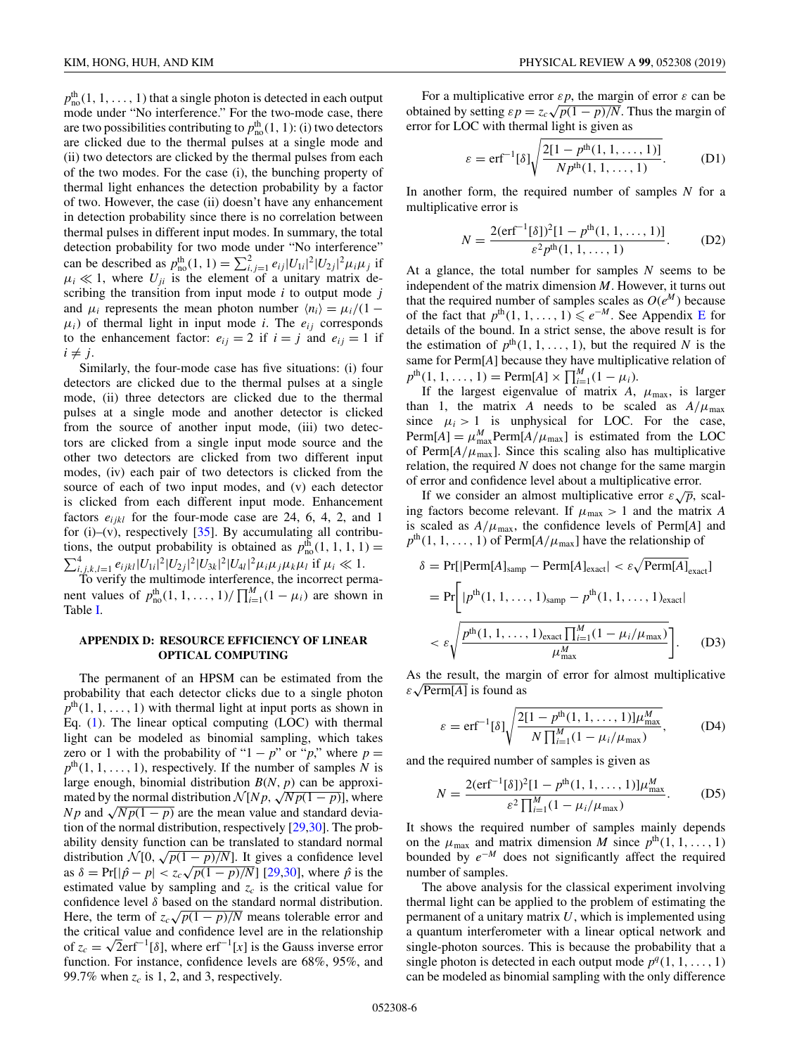<span id="page-5-0"></span> $p_{\text{no}}^{\text{th}}(1, 1, \ldots, 1)$  that a single photon is detected in each output mode under "No interference." For the two-mode case, there are two possibilities contributing to  $p_{\text{no}}^{\text{th}}(1, 1)$ : (i) two detectors are clicked due to the thermal pulses at a single mode and (ii) two detectors are clicked by the thermal pulses from each of the two modes. For the case (i), the bunching property of thermal light enhances the detection probability by a factor of two. However, the case (ii) doesn't have any enhancement in detection probability since there is no correlation between thermal pulses in different input modes. In summary, the total detection probability for two mode under "No interference" can be described as  $p_{\text{no}}^{\text{th}}(1, 1) = \sum_{i,j=1}^{2} e_{ij} |U_{1i}|^2 |U_{2j}|^2 \mu_i \mu_j$  if  $\mu_i \ll 1$ , where  $U_{ji}$  is the element of a unitary matrix describing the transition from input mode *i* to output mode *j* and  $\mu_i$  represents the mean photon number  $\langle n_i \rangle = \mu_i/(1 - \mu_i)$  $\mu_i$ ) of thermal light in input mode *i*. The  $e_{ij}$  corresponds to the enhancement factor:  $e_{ij} = 2$  if  $i = j$  and  $e_{ij} = 1$  if  $i \neq j$ .

Similarly, the four-mode case has five situations: (i) four detectors are clicked due to the thermal pulses at a single mode, (ii) three detectors are clicked due to the thermal pulses at a single mode and another detector is clicked from the source of another input mode, (iii) two detectors are clicked from a single input mode source and the other two detectors are clicked from two different input modes, (iv) each pair of two detectors is clicked from the source of each of two input modes, and (v) each detector is clicked from each different input mode. Enhancement factors  $e_{ijkl}$  for the four-mode case are 24, 6, 4, 2, and 1 for (i)–(v), respectively  $[35]$ . By accumulating all contributions, the output probability is obtained as  $p_{\text{no}}^{\text{th}}(1, 1, 1, 1)$  =  $\sum_{i,j,k,l=1}^4 e_{ijkl} |U_{1i}|^2 |U_{2j}|^2 |U_{3k}|^2 |U_{4l}|^2 \mu_i \mu_j \mu_k \mu_l$  if  $\mu_i \ll 1$ .

To verify the multimode interference, the incorrect permanent values of  $p_{\text{no}}^{\text{th}}(1, 1, \ldots, 1) / \prod_{i=1}^{M} (1 - \mu_i)$  are shown in Table [I.](#page-2-0)

# **APPENDIX D: RESOURCE EFFICIENCY OF LINEAR OPTICAL COMPUTING**

The permanent of an HPSM can be estimated from the probability that each detector clicks due to a single photon  $p<sup>th</sup>(1, 1, \ldots, 1)$  with thermal light at input ports as shown in Eq. [\(1\)](#page-1-0). The linear optical computing (LOC) with thermal light can be modeled as binomial sampling, which takes zero or 1 with the probability of "1 –  $p$ " or " $p$ ," where  $p =$  $p<sup>th</sup>(1, 1, \ldots, 1)$ , respectively. If the number of samples *N* is large enough, binomial distribution *B*(*N*, *p*) can be approxiarge enough, binomial distribution  $N[Np, \sqrt{Np(1-p)}]$ , where *N p* and  $\sqrt{Np(1-p)}$  are the mean value and standard deviation of the normal distribution, respectively [\[29,30\]](#page-7-0). The probability density function can be translated to standard normal ability density function can be translated to standard normal<br>distribution  $\mathcal{N}[0, \sqrt{p(1-p)/N}]$ . It gives a confidence level as  $\delta = \Pr[|\hat{p} - p| < z_c \sqrt{p(1 - p)/N}]$ . It gives a confidence level as  $\delta = \Pr[|\hat{p} - p| < z_c \sqrt{p(1 - p)/N}]$  [\[29,30\]](#page-7-0), where  $\hat{p}$  is the estimated value by sampling and  $z_c$  is the critical value for confidence level  $\delta$  based on the standard normal distribution. confidence level  $\delta$  based on the standard normal distribution.<br>Here, the term of  $z_c \sqrt{p(1-p)/N}$  means tolerable error and the critical value and confidence level are in the relationship the critical value and confidence level are in the relationship<br>of  $z_c = \sqrt{2} \text{erf}^{-1}[\delta]$ , where  $\text{erf}^{-1}[x]$  is the Gauss inverse error function. For instance, confidence levels are 68%, 95%, and 99.7% when  $z_c$  is 1, 2, and 3, respectively.

For a multiplicative error  $\varepsilon p$ , the margin of error  $\varepsilon$  can be For a multiplicative error  $\varepsilon p$ , the margin of error  $\varepsilon$  can be obtained by setting  $\varepsilon p = z_c \sqrt{p(1-p)/N}$ . Thus the margin of error for LOC with thermal light is given as

$$
\varepsilon = \text{erf}^{-1}[\delta] \sqrt{\frac{2[1 - p^{\text{th}}(1, 1, \dots, 1)]}{N p^{\text{th}}(1, 1, \dots, 1)}}.
$$
 (D1)

In another form, the required number of samples *N* for a multiplicative error is

$$
N = \frac{2(\text{erf}^{-1}[\delta])^2[1 - p^{\text{th}}(1, 1, \dots, 1)]}{\varepsilon^2 p^{\text{th}}(1, 1, \dots, 1)}.
$$
 (D2)

At a glance, the total number for samples *N* seems to be independent of the matrix dimension *M*. However, it turns out that the required number of samples scales as  $O(e^M)$  because of the fact that  $p^{\text{th}}(1, 1, \ldots, 1) \leq e^{-M}$ . See Appendix [E](#page-6-0) for details of the bound. In a strict sense, the above result is for the estimation of  $p^{th}(1, 1, \ldots, 1)$ , but the required *N* is the same for Perm[*A*] because they have multiplicative relation of  $p^{\text{th}}(1, 1, \ldots, 1) = \text{Perm}[A] \times \prod_{i=1}^{M} (1 - \mu_i).$ 

If the largest eigenvalue of matrix  $A$ ,  $\mu_{\text{max}}$ , is larger than 1, the matrix *A* needs to be scaled as  $A/\mu_{\text{max}}$ since  $\mu_i > 1$  is unphysical for LOC. For the case,  $\text{Perm}[A] = \mu_{\text{max}}^M \text{Perm}[A/\mu_{\text{max}}]$  is estimated from the LOC of Perm $[A/\mu_{\text{max}}]$ . Since this scaling also has multiplicative relation, the required *N* does not change for the same margin of error and confidence level about a multiplicative error.

If we consider an almost multiplicative error  $\varepsilon \sqrt{\rho}$ , scaling factors become relevant. If  $\mu_{\text{max}} > 1$  and the matrix *A* is scaled as  $A/\mu_{\text{max}}$ , the confidence levels of Perm[*A*] and  $p^{\text{th}}(1, 1, \ldots, 1)$  of Perm[ $A/\mu_{\text{max}}$ ] have the relationship of

$$
\delta = \Pr[|\text{Perm}[A]_{\text{samp}} - \text{Perm}[A]_{\text{exact}}| < \varepsilon \sqrt{\text{Perm}[A]_{\text{exact}}}]
$$
\n
$$
= \Pr\bigg[|p^{\text{th}}(1, 1, \dots, 1)_{\text{samp}} - p^{\text{th}}(1, 1, \dots, 1)_{\text{exact}}|
$$
\n
$$
< \varepsilon \sqrt{\frac{p^{\text{th}}(1, 1, \dots, 1)_{\text{exact}} \prod_{i=1}^{M} (1 - \mu_i / \mu_{\text{max}})}{\mu_{\text{max}}^M}}\bigg].
$$
\n(D3)

As the result, the margin of error for almost multiplicative As the result, the mar<br> $\varepsilon\sqrt{\text{Perm}[A]}$  is found as

$$
\varepsilon = \text{erf}^{-1}[\delta] \sqrt{\frac{2[1 - p^{\text{th}}(1, 1, \dots, 1)]\mu_{\text{max}}^M}{N \prod_{i=1}^M (1 - \mu_i / \mu_{\text{max}})}},
$$
 (D4)

and the required number of samples is given as

$$
N = \frac{2(\text{erf}^{-1}[\delta])^{2}[1 - p^{\text{th}}(1, 1, ..., 1)]\mu_{\text{max}}^{M}}{\varepsilon^{2} \prod_{i=1}^{M} (1 - \mu_{i} / \mu_{\text{max}})}.
$$
 (D5)

It shows the required number of samples mainly depends on the  $\mu_{\text{max}}$  and matrix dimension *M* since  $p^{\text{th}}(1, 1, \ldots, 1)$ bounded by *e*<sup>−</sup>*<sup>M</sup>* does not significantly affect the required number of samples.

The above analysis for the classical experiment involving thermal light can be applied to the problem of estimating the permanent of a unitary matrix *U*, which is implemented using a quantum interferometer with a linear optical network and single-photon sources. This is because the probability that a single photon is detected in each output mode  $p^q(1, 1, \ldots, 1)$ can be modeled as binomial sampling with the only difference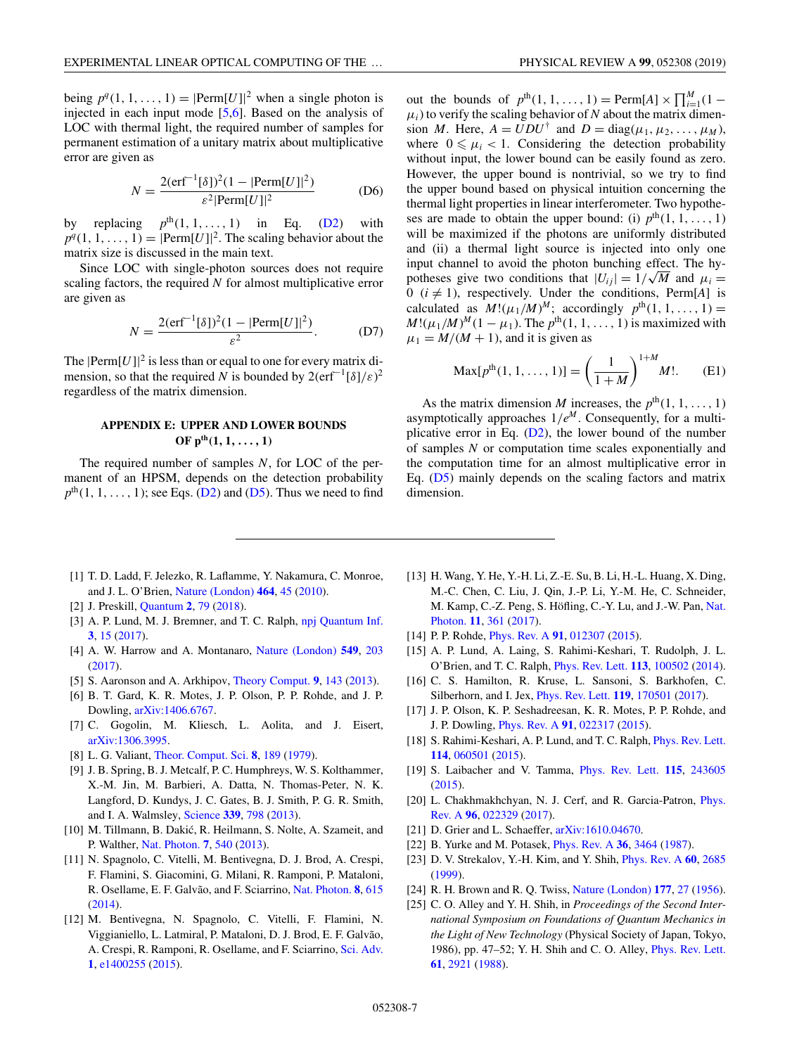<span id="page-6-0"></span>being  $p^q(1, 1, \ldots, 1) = |\text{Perm}[U]|^2$  when a single photon is injected in each input mode [5,6]. Based on the analysis of LOC with thermal light, the required number of samples for permanent estimation of a unitary matrix about multiplicative error are given as

$$
N = \frac{2(\text{erf}^{-1}[\delta])^2 (1 - |\text{Perm}[U]|^2)}{\varepsilon^2 |\text{Perm}[U]|^2}
$$
 (D6)

by replacing  $p^{th}(1, 1, \ldots, 1)$  in Eq. [\(D2\)](#page-5-0) with  $p^{q}(1, 1, \ldots, 1) = |\text{Perm}[U]|^2$ . The scaling behavior about the matrix size is discussed in the main text.

Since LOC with single-photon sources does not require scaling factors, the required *N* for almost multiplicative error are given as

$$
N = \frac{2(\text{erf}^{-1}[\delta])^2 (1 - |\text{Perm}[U]|^2)}{\varepsilon^2}.
$$
 (D7)

The  $|Perm[U]|^2$  is less than or equal to one for every matrix dimension, so that the required *N* is bounded by  $2(\text{erf}^{-1}[\delta]/\varepsilon)^2$ regardless of the matrix dimension.

# **APPENDIX E: UPPER AND LOWER BOUNDS**  $OF p<sup>th</sup>(1, 1, ..., 1)$

The required number of samples *N*, for LOC of the permanent of an HPSM, depends on the detection probability  $p<sup>th</sup>(1, 1, \ldots, 1)$ ; see Eqs. [\(D2\)](#page-5-0) and [\(D5\)](#page-5-0). Thus we need to find

out the bounds of  $p^{th}(1, 1, ..., 1) = \text{Perm}[A] \times \prod_{i=1}^{M} (1 \mu_i$ ) to verify the scaling behavior of *N* about the matrix dimension *M*. Here,  $A = UDU^{\dagger}$  and  $D = \text{diag}(\mu_1, \mu_2, \dots, \mu_M)$ , where  $0 \le \mu_i < 1$ . Considering the detection probability without input, the lower bound can be easily found as zero. However, the upper bound is nontrivial, so we try to find the upper bound based on physical intuition concerning the thermal light properties in linear interferometer. Two hypotheses are made to obtain the upper bound: (i)  $p<sup>th</sup>(1, 1, ..., 1)$ will be maximized if the photons are uniformly distributed and (ii) a thermal light source is injected into only one input channel to avoid the photon bunching effect. The hyinput channel to avoid the photon bunching effect. The hypotheses give two conditions that  $|U_{ij}| = 1/\sqrt{M}$  and  $\mu_i =$ 0 ( $i \neq 1$ ), respectively. Under the conditions, Perm[A] is calculated as  $M!(\mu_1/M)^M$ ; accordingly  $p^{\text{th}}(1, 1, ..., 1)$  =  $M!(\mu_1/M)^M(1 - \mu_1)$ . The  $p^{\text{th}}(1, 1, ..., 1)$  is maximized with  $\mu_1 = M/(M + 1)$ , and it is given as

$$
Max[p^{th}(1, 1, ..., 1)] = \left(\frac{1}{1+M}\right)^{1+M} M!.
$$
 (E1)

As the matrix dimension *M* increases, the  $p<sup>th</sup>(1, 1, ..., 1)$ asymptotically approaches  $1/e^M$ . Consequently, for a multiplicative error in Eq.  $(D2)$ , the lower bound of the number of samples *N* or computation time scales exponentially and the computation time for an almost multiplicative error in Eq. [\(D5\)](#page-5-0) mainly depends on the scaling factors and matrix dimension.

- [1] T. D. Ladd, F. Jelezko, R. Laflamme, Y. Nakamura, C. Monroe, and J. L. O'Brien, [Nature \(London\)](https://doi.org/10.1038/nature08812) **[464](https://doi.org/10.1038/nature08812)**, [45](https://doi.org/10.1038/nature08812) [\(2010\)](https://doi.org/10.1038/nature08812).
- [2] J. Preskill, [Quantum](https://doi.org/10.22331/q-2018-08-06-79) **[2](https://doi.org/10.22331/q-2018-08-06-79)**, [79](https://doi.org/10.22331/q-2018-08-06-79) [\(2018\)](https://doi.org/10.22331/q-2018-08-06-79).
- [3] A. P. Lund, M. J. Bremner, and T. C. Ralph, [npj Quantum Inf.](https://doi.org/10.1038/s41534-017-0018-2) **[3](https://doi.org/10.1038/s41534-017-0018-2)**, [15](https://doi.org/10.1038/s41534-017-0018-2) [\(2017\)](https://doi.org/10.1038/s41534-017-0018-2).
- [4] A. W. Harrow and A. Montanaro, [Nature \(London\)](https://doi.org/10.1038/nature23458) **[549](https://doi.org/10.1038/nature23458)**, [203](https://doi.org/10.1038/nature23458) [\(2017\)](https://doi.org/10.1038/nature23458).
- [5] S. Aaronson and A. Arkhipov, [Theory Comput.](https://doi.org/10.4086/toc.2013.v009a004) **[9](https://doi.org/10.4086/toc.2013.v009a004)**, [143](https://doi.org/10.4086/toc.2013.v009a004) [\(2013\)](https://doi.org/10.4086/toc.2013.v009a004).
- [6] B. T. Gard, K. R. Motes, J. P. Olson, P. P. Rohde, and J. P. Dowling, [arXiv:1406.6767.](http://arxiv.org/abs/arXiv:1406.6767)
- [7] C. Gogolin, M. Kliesch, L. Aolita, and J. Eisert, [arXiv:1306.3995.](http://arxiv.org/abs/arXiv:1306.3995)
- [8] L. G. Valiant, [Theor. Comput. Sci.](https://doi.org/10.1016/0304-3975(79)90044-6) **[8](https://doi.org/10.1016/0304-3975(79)90044-6)**, [189](https://doi.org/10.1016/0304-3975(79)90044-6) [\(1979\)](https://doi.org/10.1016/0304-3975(79)90044-6).
- [9] J. B. Spring, B. J. Metcalf, P. C. Humphreys, W. S. Kolthammer, X.-M. Jin, M. Barbieri, A. Datta, N. Thomas-Peter, N. K. Langford, D. Kundys, J. C. Gates, B. J. Smith, P. G. R. Smith, and I. A. Walmsley, [Science](https://doi.org/10.1126/science.1231692) **[339](https://doi.org/10.1126/science.1231692)**, [798](https://doi.org/10.1126/science.1231692) [\(2013\)](https://doi.org/10.1126/science.1231692).
- [10] M. Tillmann, B. Dakić, R. Heilmann, S. Nolte, A. Szameit, and P. Walther, [Nat. Photon.](https://doi.org/10.1038/nphoton.2013.102) **[7](https://doi.org/10.1038/nphoton.2013.102)**, [540](https://doi.org/10.1038/nphoton.2013.102) [\(2013\)](https://doi.org/10.1038/nphoton.2013.102).
- [11] N. Spagnolo, C. Vitelli, M. Bentivegna, D. J. Brod, A. Crespi, F. Flamini, S. Giacomini, G. Milani, R. Ramponi, P. Mataloni, R. Osellame, E. F. Galvão, and F. Sciarrino, [Nat. Photon.](https://doi.org/10.1038/nphoton.2014.135) **[8](https://doi.org/10.1038/nphoton.2014.135)**, [615](https://doi.org/10.1038/nphoton.2014.135) [\(2014\)](https://doi.org/10.1038/nphoton.2014.135).
- [12] M. Bentivegna, N. Spagnolo, C. Vitelli, F. Flamini, N. Viggianiello, L. Latmiral, P. Mataloni, D. J. Brod, E. F. Galvão, A. Crespi, R. Ramponi, R. Osellame, and F. Sciarrino, [Sci. Adv.](https://doi.org/10.1126/sciadv.1400255) **[1](https://doi.org/10.1126/sciadv.1400255)**, [e1400255](https://doi.org/10.1126/sciadv.1400255) [\(2015\)](https://doi.org/10.1126/sciadv.1400255).
- [13] H. Wang, Y. He, Y.-H. Li, Z.-E. Su, B. Li, H.-L. Huang, X. Ding, M.-C. Chen, C. Liu, J. Qin, J.-P. Li, Y.-M. He, C. Schneider, [M. Kamp, C.-Z. Peng, S. Höfling, C.-Y. Lu, and J.-W. Pan,](https://doi.org/10.1038/nphoton.2017.63) Nat. Photon. **[11](https://doi.org/10.1038/nphoton.2017.63)**, [361](https://doi.org/10.1038/nphoton.2017.63) [\(2017\)](https://doi.org/10.1038/nphoton.2017.63).
- [14] P. P. Rohde, [Phys. Rev. A](https://doi.org/10.1103/PhysRevA.91.012307) **[91](https://doi.org/10.1103/PhysRevA.91.012307)**, [012307](https://doi.org/10.1103/PhysRevA.91.012307) [\(2015\)](https://doi.org/10.1103/PhysRevA.91.012307).
- [15] A. P. Lund, A. Laing, S. Rahimi-Keshari, T. Rudolph, J. L. O'Brien, and T. C. Ralph, [Phys. Rev. Lett.](https://doi.org/10.1103/PhysRevLett.113.100502) **[113](https://doi.org/10.1103/PhysRevLett.113.100502)**, [100502](https://doi.org/10.1103/PhysRevLett.113.100502) [\(2014\)](https://doi.org/10.1103/PhysRevLett.113.100502).
- [16] C. S. Hamilton, R. Kruse, L. Sansoni, S. Barkhofen, C. Silberhorn, and I. Jex, [Phys. Rev. Lett.](https://doi.org/10.1103/PhysRevLett.119.170501) **[119](https://doi.org/10.1103/PhysRevLett.119.170501)**, [170501](https://doi.org/10.1103/PhysRevLett.119.170501) [\(2017\)](https://doi.org/10.1103/PhysRevLett.119.170501).
- [17] J. P. Olson, K. P. Seshadreesan, K. R. Motes, P. P. Rohde, and J. P. Dowling, [Phys. Rev. A](https://doi.org/10.1103/PhysRevA.91.022317) **[91](https://doi.org/10.1103/PhysRevA.91.022317)**, [022317](https://doi.org/10.1103/PhysRevA.91.022317) [\(2015\)](https://doi.org/10.1103/PhysRevA.91.022317).
- [18] S. Rahimi-Keshari, A. P. Lund, and T. C. Ralph, *[Phys. Rev. Lett.](https://doi.org/10.1103/PhysRevLett.114.060501)* **[114](https://doi.org/10.1103/PhysRevLett.114.060501)**, [060501](https://doi.org/10.1103/PhysRevLett.114.060501) [\(2015\)](https://doi.org/10.1103/PhysRevLett.114.060501).
- [19] S. Laibacher and V. Tamma, [Phys. Rev. Lett.](https://doi.org/10.1103/PhysRevLett.115.243605) **[115](https://doi.org/10.1103/PhysRevLett.115.243605)**, [243605](https://doi.org/10.1103/PhysRevLett.115.243605) [\(2015\)](https://doi.org/10.1103/PhysRevLett.115.243605).
- [20] [L. Chakhmakhchyan, N. J. Cerf, and R. Garcia-Patron,](https://doi.org/10.1103/PhysRevA.96.022329) *Phys.* Rev. A **[96](https://doi.org/10.1103/PhysRevA.96.022329)**, [022329](https://doi.org/10.1103/PhysRevA.96.022329) [\(2017\)](https://doi.org/10.1103/PhysRevA.96.022329).
- [21] D. Grier and L. Schaeffer,  $arXiv:1610.04670$ .
- [22] B. Yurke and M. Potasek, [Phys. Rev. A](https://doi.org/10.1103/PhysRevA.36.3464) **[36](https://doi.org/10.1103/PhysRevA.36.3464)**, [3464](https://doi.org/10.1103/PhysRevA.36.3464) [\(1987\)](https://doi.org/10.1103/PhysRevA.36.3464).
- [23] D. V. Strekalov, Y.-H. Kim, and Y. Shih, [Phys. Rev. A](https://doi.org/10.1103/PhysRevA.60.2685) **[60](https://doi.org/10.1103/PhysRevA.60.2685)**, [2685](https://doi.org/10.1103/PhysRevA.60.2685) [\(1999\)](https://doi.org/10.1103/PhysRevA.60.2685).
- [24] R. H. Brown and R. Q. Twiss, [Nature \(London\)](https://doi.org/10.1038/177027a0) **[177](https://doi.org/10.1038/177027a0)**, [27](https://doi.org/10.1038/177027a0) [\(1956\)](https://doi.org/10.1038/177027a0).
- [25] C. O. Alley and Y. H. Shih, in *Proceedings of the Second International Symposium on Foundations of Quantum Mechanics in the Light of New Technology* (Physical Society of Japan, Tokyo, 1986), pp. 47–52; Y. H. Shih and C. O. Alley, [Phys. Rev. Lett.](https://doi.org/10.1103/PhysRevLett.61.2921) **[61](https://doi.org/10.1103/PhysRevLett.61.2921)**, [2921](https://doi.org/10.1103/PhysRevLett.61.2921) [\(1988\)](https://doi.org/10.1103/PhysRevLett.61.2921).